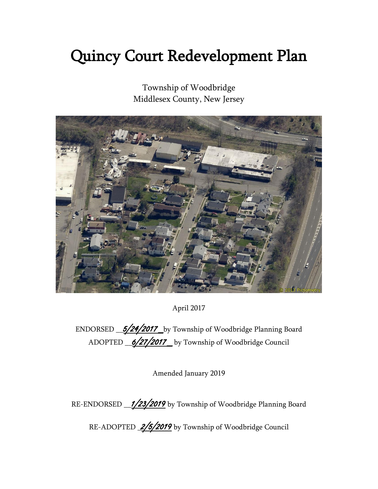# Quincy Court Redevelopment Plan

Township of Woodbridge Middlesex County, New Jersey



April 2017

ENDORSED  $\underline{\hspace{1em}\mathcal{5}/24/2017\hspace{1em}}$  by Township of Woodbridge Planning Board ADOPTED <u>\_6/27/2017</u> by Township of Woodbridge Council

Amended January 2019

RE-ENDORSED 1/23/2019 by Township of Woodbridge Planning Board

RE-ADOPTED 2/5/2019 by Township of Woodbridge Council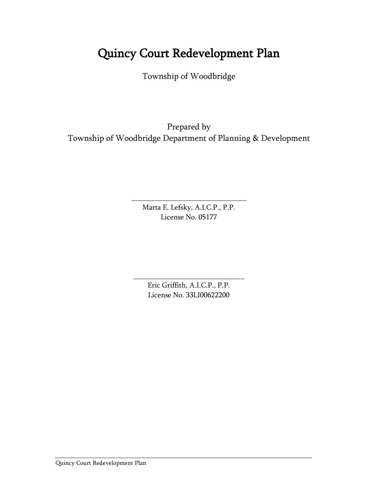# Quincy Court Redevelopment Plan

Township of Woodbridge

Prepared by Township of Woodbridge Department of Planning & Development

> Marta E. Lefsky, A.I.C.P., P.P. License No. 05177

\_\_\_\_\_\_\_\_\_\_\_\_\_\_\_\_\_\_\_\_\_\_\_\_\_\_\_\_\_\_\_

Eric Griffith, A.I.C.P., P.P. License No. 33LI00622200

\_\_\_\_\_\_\_\_\_\_\_\_\_\_\_\_\_\_\_\_\_\_\_\_\_\_\_\_\_\_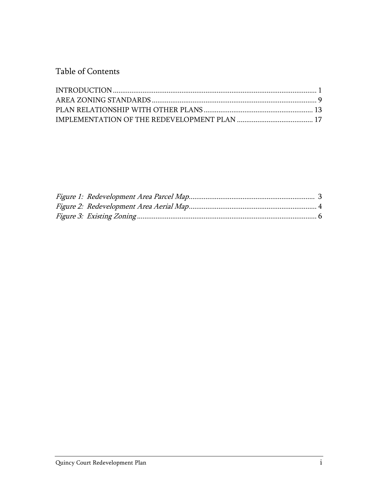Table of Contents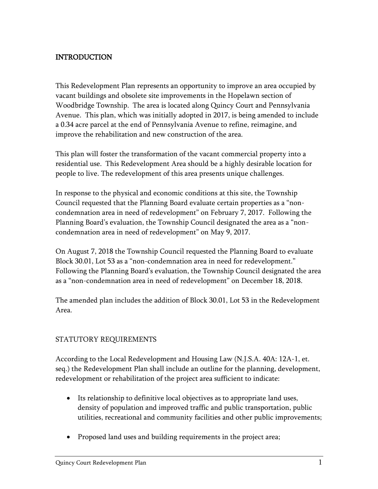# <span id="page-3-0"></span>INTRODUCTION

This Redevelopment Plan represents an opportunity to improve an area occupied by vacant buildings and obsolete site improvements in the Hopelawn section of Woodbridge Township. The area is located along Quincy Court and Pennsylvania Avenue. This plan, which was initially adopted in 2017, is being amended to include a 0.34 acre parcel at the end of Pennsylvania Avenue to refine, reimagine, and improve the rehabilitation and new construction of the area.

This plan will foster the transformation of the vacant commercial property into a residential use. This Redevelopment Area should be a highly desirable location for people to live. The redevelopment of this area presents unique challenges.

In response to the physical and economic conditions at this site, the Township Council requested that the Planning Board evaluate certain properties as a "noncondemnation area in need of redevelopment" on February 7, 2017. Following the Planning Board's evaluation, the Township Council designated the area as a "noncondemnation area in need of redevelopment" on May 9, 2017.

On August 7, 2018 the Township Council requested the Planning Board to evaluate Block 30.01, Lot 53 as a "non-condemnation area in need for redevelopment." Following the Planning Board's evaluation, the Township Council designated the area as a "non-condemnation area in need of redevelopment" on December 18, 2018.

The amended plan includes the addition of Block 30.01, Lot 53 in the Redevelopment Area.

# STATUTORY REQUIREMENTS

According to the Local Redevelopment and Housing Law (N.J.S.A. 40A: 12A-1, et. seq.) the Redevelopment Plan shall include an outline for the planning, development, redevelopment or rehabilitation of the project area sufficient to indicate:

- Its relationship to definitive local objectives as to appropriate land uses, density of population and improved traffic and public transportation, public utilities, recreational and community facilities and other public improvements;
- Proposed land uses and building requirements in the project area;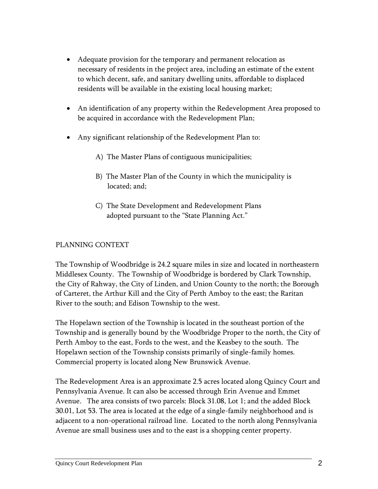- Adequate provision for the temporary and permanent relocation as necessary of residents in the project area, including an estimate of the extent to which decent, safe, and sanitary dwelling units, affordable to displaced residents will be available in the existing local housing market;
- An identification of any property within the Redevelopment Area proposed to be acquired in accordance with the Redevelopment Plan;
- Any significant relationship of the Redevelopment Plan to:
	- A) The Master Plans of contiguous municipalities;
	- B) The Master Plan of the County in which the municipality is located; and;
	- C) The State Development and Redevelopment Plans adopted pursuant to the "State Planning Act."

#### PLANNING CONTEXT

The Township of Woodbridge is 24.2 square miles in size and located in northeastern Middlesex County. The Township of Woodbridge is bordered by Clark Township, the City of Rahway, the City of Linden, and Union County to the north; the Borough of Carteret, the Arthur Kill and the City of Perth Amboy to the east; the Raritan River to the south; and Edison Township to the west.

The Hopelawn section of the Township is located in the southeast portion of the Township and is generally bound by the Woodbridge Proper to the north, the City of Perth Amboy to the east, Fords to the west, and the Keasbey to the south. The Hopelawn section of the Township consists primarily of single-family homes. Commercial property is located along New Brunswick Avenue.

The Redevelopment Area is an approximate 2.5 acres located along Quincy Court and Pennsylvania Avenue. It can also be accessed through Erin Avenue and Emmet Avenue. The area consists of two parcels: Block 31.08, Lot 1; and the added Block 30.01, Lot 53. The area is located at the edge of a single-family neighborhood and is adjacent to a non-operational railroad line. Located to the north along Pennsylvania Avenue are small business uses and to the east is a shopping center property.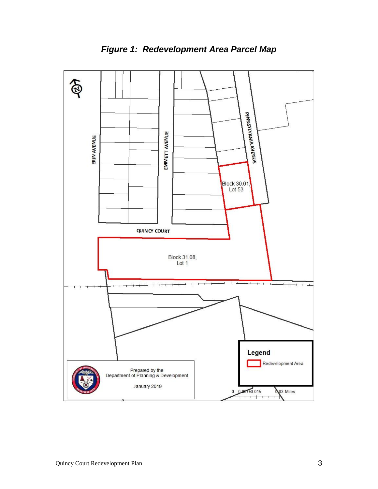<span id="page-5-0"></span>

*Figure 1: Redevelopment Area Parcel Map*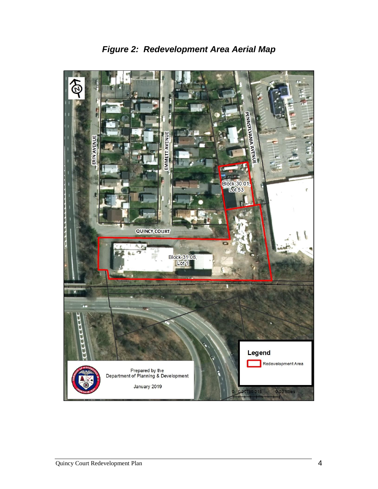<span id="page-6-0"></span>

*Figure 2: Redevelopment Area Aerial Map*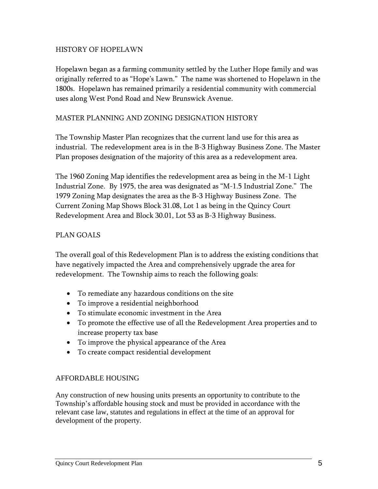#### HISTORY OF HOPELAWN

Hopelawn began as a farming community settled by the Luther Hope family and was originally referred to as "Hope's Lawn." The name was shortened to Hopelawn in the 1800s. Hopelawn has remained primarily a residential community with commercial uses along West Pond Road and New Brunswick Avenue.

#### MASTER PLANNING AND ZONING DESIGNATION HISTORY

The Township Master Plan recognizes that the current land use for this area as industrial. The redevelopment area is in the B-3 Highway Business Zone. The Master Plan proposes designation of the majority of this area as a redevelopment area.

The 1960 Zoning Map identifies the redevelopment area as being in the M-1 Light Industrial Zone. By 1975, the area was designated as "M-1.5 Industrial Zone." The 1979 Zoning Map designates the area as the B-3 Highway Business Zone. The Current Zoning Map Shows Block 31.08, Lot 1 as being in the Quincy Court Redevelopment Area and Block 30.01, Lot 53 as B-3 Highway Business.

#### PLAN GOALS

The overall goal of this Redevelopment Plan is to address the existing conditions that have negatively impacted the Area and comprehensively upgrade the area for redevelopment. The Township aims to reach the following goals:

- To remediate any hazardous conditions on the site
- To improve a residential neighborhood
- To stimulate economic investment in the Area
- To promote the effective use of all the Redevelopment Area properties and to increase property tax base
- To improve the physical appearance of the Area
- To create compact residential development

#### AFFORDABLE HOUSING

<span id="page-7-0"></span>Any construction of new housing units presents an opportunity to contribute to the Township's affordable housing stock and must be provided in accordance with the relevant case law, statutes and regulations in effect at the time of an approval for development of the property.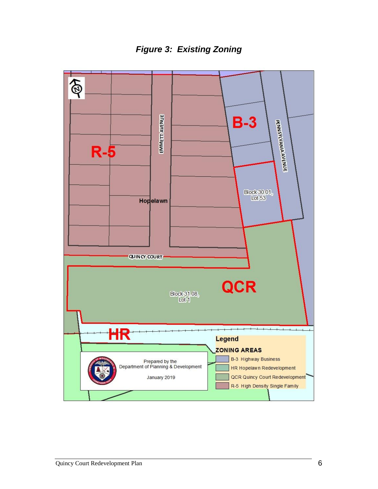*Figure 3: Existing Zoning*

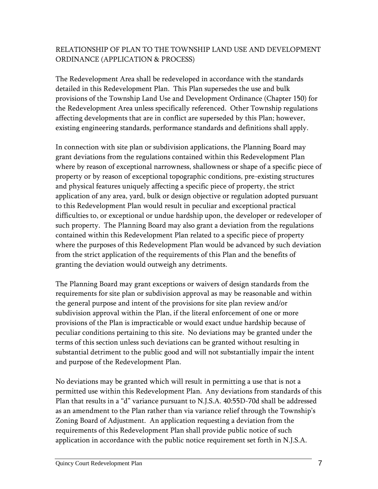# RELATIONSHIP OF PLAN TO THE TOWNSHIP LAND USE AND DEVELOPMENT ORDINANCE (APPLICATION & PROCESS)

The Redevelopment Area shall be redeveloped in accordance with the standards detailed in this Redevelopment Plan. This Plan supersedes the use and bulk provisions of the Township Land Use and Development Ordinance (Chapter 150) for the Redevelopment Area unless specifically referenced. Other Township regulations affecting developments that are in conflict are superseded by this Plan; however, existing engineering standards, performance standards and definitions shall apply.

In connection with site plan or subdivision applications, the Planning Board may grant deviations from the regulations contained within this Redevelopment Plan where by reason of exceptional narrowness, shallowness or shape of a specific piece of property or by reason of exceptional topographic conditions, pre-existing structures and physical features uniquely affecting a specific piece of property, the strict application of any area, yard, bulk or design objective or regulation adopted pursuant to this Redevelopment Plan would result in peculiar and exceptional practical difficulties to, or exceptional or undue hardship upon, the developer or redeveloper of such property. The Planning Board may also grant a deviation from the regulations contained within this Redevelopment Plan related to a specific piece of property where the purposes of this Redevelopment Plan would be advanced by such deviation from the strict application of the requirements of this Plan and the benefits of granting the deviation would outweigh any detriments.

The Planning Board may grant exceptions or waivers of design standards from the requirements for site plan or subdivision approval as may be reasonable and within the general purpose and intent of the provisions for site plan review and/or subdivision approval within the Plan, if the literal enforcement of one or more provisions of the Plan is impracticable or would exact undue hardship because of peculiar conditions pertaining to this site. No deviations may be granted under the terms of this section unless such deviations can be granted without resulting in substantial detriment to the public good and will not substantially impair the intent and purpose of the Redevelopment Plan.

No deviations may be granted which will result in permitting a use that is not a permitted use within this Redevelopment Plan. Any deviations from standards of this Plan that results in a "d" variance pursuant to N.J.S.A. 40:55D-70d shall be addressed as an amendment to the Plan rather than via variance relief through the Township's Zoning Board of Adjustment. An application requesting a deviation from the requirements of this Redevelopment Plan shall provide public notice of such application in accordance with the public notice requirement set forth in N.J.S.A.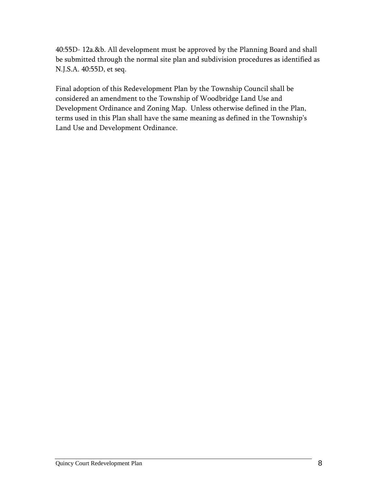40:55D- 12a.&b. All development must be approved by the Planning Board and shall be submitted through the normal site plan and subdivision procedures as identified as N.J.S.A. 40:55D, et seq.

Final adoption of this Redevelopment Plan by the Township Council shall be considered an amendment to the Township of Woodbridge Land Use and Development Ordinance and Zoning Map. Unless otherwise defined in the Plan, terms used in this Plan shall have the same meaning as defined in the Township's Land Use and Development Ordinance.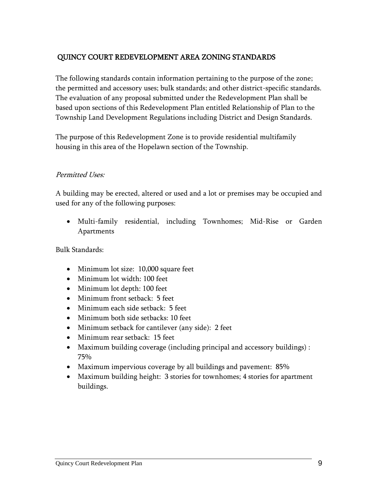# <span id="page-11-0"></span>QUINCY COURT REDEVELOPMENT AREA ZONING STANDARDS

The following standards contain information pertaining to the purpose of the zone; the permitted and accessory uses; bulk standards; and other district-specific standards. The evaluation of any proposal submitted under the Redevelopment Plan shall be based upon sections of this Redevelopment Plan entitled Relationship of Plan to the Township Land Development Regulations including District and Design Standards.

The purpose of this Redevelopment Zone is to provide residential multifamily housing in this area of the Hopelawn section of the Township.

#### Permitted Uses:

A building may be erected, altered or used and a lot or premises may be occupied and used for any of the following purposes:

 Multi-family residential, including Townhomes; Mid-Rise or Garden Apartments

Bulk Standards:

- Minimum lot size: 10,000 square feet
- Minimum lot width: 100 feet
- Minimum lot depth: 100 feet
- Minimum front setback: 5 feet
- Minimum each side setback: 5 feet
- Minimum both side setbacks: 10 feet
- Minimum setback for cantilever (any side): 2 feet
- Minimum rear setback: 15 feet
- Maximum building coverage (including principal and accessory buildings) : 75%
- Maximum impervious coverage by all buildings and pavement: 85%
- Maximum building height: 3 stories for townhomes; 4 stories for apartment buildings.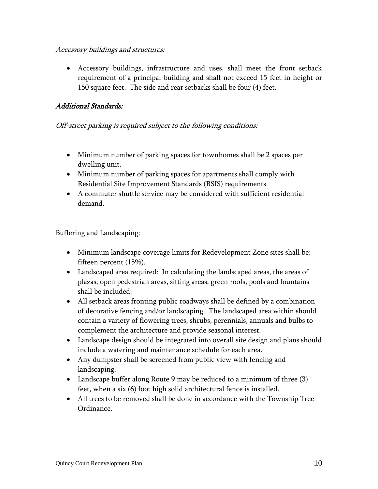#### Accessory buildings and structures:

 Accessory buildings, infrastructure and uses, shall meet the front setback requirement of a principal building and shall not exceed 15 feet in height or 150 square feet. The side and rear setbacks shall be four (4) feet.

## Additional Standards:

#### Off-street parking is required subject to the following conditions:

- Minimum number of parking spaces for townhomes shall be 2 spaces per dwelling unit.
- Minimum number of parking spaces for apartments shall comply with Residential Site Improvement Standards (RSIS) requirements.
- A commuter shuttle service may be considered with sufficient residential demand.

Buffering and Landscaping:

- Minimum landscape coverage limits for Redevelopment Zone sites shall be: fifteen percent (15%).
- Landscaped area required: In calculating the landscaped areas, the areas of plazas, open pedestrian areas, sitting areas, green roofs, pools and fountains shall be included.
- All setback areas fronting public roadways shall be defined by a combination of decorative fencing and/or landscaping. The landscaped area within should contain a variety of flowering trees, shrubs, perennials, annuals and bulbs to complement the architecture and provide seasonal interest.
- Landscape design should be integrated into overall site design and plans should include a watering and maintenance schedule for each area.
- Any dumpster shall be screened from public view with fencing and landscaping.
- Landscape buffer along Route 9 may be reduced to a minimum of three (3) feet, when a six (6) foot high solid architectural fence is installed.
- All trees to be removed shall be done in accordance with the Township Tree Ordinance.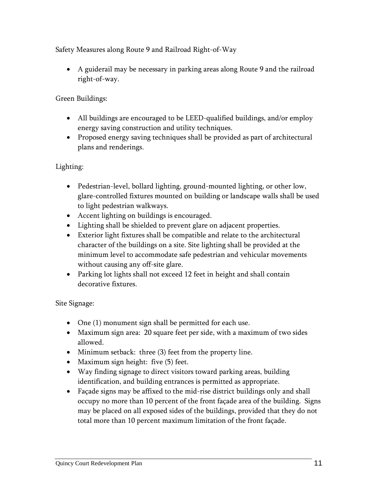Safety Measures along Route 9 and Railroad Right-of-Way

 A guiderail may be necessary in parking areas along Route 9 and the railroad right-of-way.

Green Buildings:

- All buildings are encouraged to be LEED-qualified buildings, and/or employ energy saving construction and utility techniques.
- Proposed energy saving techniques shall be provided as part of architectural plans and renderings.

Lighting:

- Pedestrian-level, bollard lighting, ground-mounted lighting, or other low, glare-controlled fixtures mounted on building or landscape walls shall be used to light pedestrian walkways.
- Accent lighting on buildings is encouraged.
- Lighting shall be shielded to prevent glare on adjacent properties.
- Exterior light fixtures shall be compatible and relate to the architectural character of the buildings on a site. Site lighting shall be provided at the minimum level to accommodate safe pedestrian and vehicular movements without causing any off-site glare.
- Parking lot lights shall not exceed 12 feet in height and shall contain decorative fixtures.

Site Signage:

- One (1) monument sign shall be permitted for each use.
- Maximum sign area: 20 square feet per side, with a maximum of two sides allowed.
- Minimum setback: three (3) feet from the property line.
- Maximum sign height: five (5) feet.
- Way finding signage to direct visitors toward parking areas, building identification, and building entrances is permitted as appropriate.
- Façade signs may be affixed to the mid-rise district buildings only and shall occupy no more than 10 percent of the front façade area of the building. Signs may be placed on all exposed sides of the buildings, provided that they do not total more than 10 percent maximum limitation of the front façade.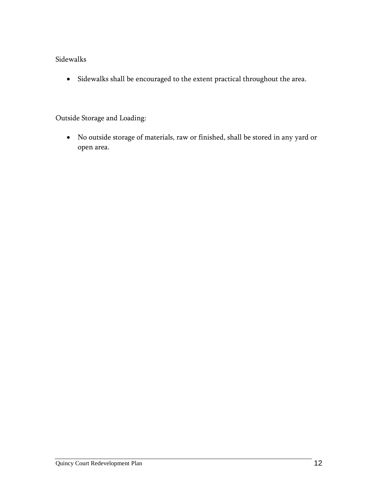# Sidewalks

Sidewalks shall be encouraged to the extent practical throughout the area.

#### Outside Storage and Loading:

<span id="page-14-0"></span> No outside storage of materials, raw or finished, shall be stored in any yard or open area.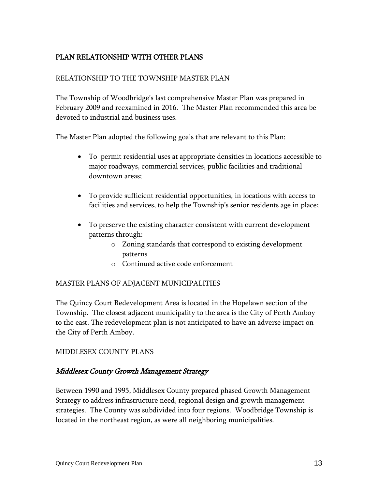# PLAN RELATIONSHIP WITH OTHER PLANS

#### RELATIONSHIP TO THE TOWNSHIP MASTER PLAN

The Township of Woodbridge's last comprehensive Master Plan was prepared in February 2009 and reexamined in 2016. The Master Plan recommended this area be devoted to industrial and business uses.

The Master Plan adopted the following goals that are relevant to this Plan:

- To permit residential uses at appropriate densities in locations accessible to major roadways, commercial services, public facilities and traditional downtown areas;
- To provide sufficient residential opportunities, in locations with access to facilities and services, to help the Township's senior residents age in place;
- To preserve the existing character consistent with current development patterns through:
	- o Zoning standards that correspond to existing development patterns
	- o Continued active code enforcement

#### MASTER PLANS OF ADJACENT MUNICIPALITIES

The Quincy Court Redevelopment Area is located in the Hopelawn section of the Township. The closest adjacent municipality to the area is the City of Perth Amboy to the east. The redevelopment plan is not anticipated to have an adverse impact on the City of Perth Amboy.

#### MIDDLESEX COUNTY PLANS

#### Middlesex County Growth Management Strategy

Between 1990 and 1995, Middlesex County prepared phased Growth Management Strategy to address infrastructure need, regional design and growth management strategies. The County was subdivided into four regions. Woodbridge Township is located in the northeast region, as were all neighboring municipalities.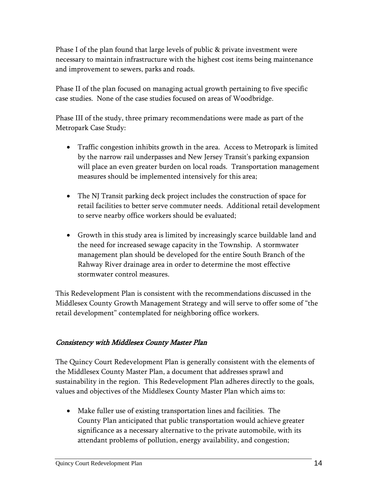Phase I of the plan found that large levels of public & private investment were necessary to maintain infrastructure with the highest cost items being maintenance and improvement to sewers, parks and roads.

Phase II of the plan focused on managing actual growth pertaining to five specific case studies. None of the case studies focused on areas of Woodbridge.

Phase III of the study, three primary recommendations were made as part of the Metropark Case Study:

- Traffic congestion inhibits growth in the area. Access to Metropark is limited by the narrow rail underpasses and New Jersey Transit's parking expansion will place an even greater burden on local roads. Transportation management measures should be implemented intensively for this area;
- The NJ Transit parking deck project includes the construction of space for retail facilities to better serve commuter needs. Additional retail development to serve nearby office workers should be evaluated;
- Growth in this study area is limited by increasingly scarce buildable land and the need for increased sewage capacity in the Township. A stormwater management plan should be developed for the entire South Branch of the Rahway River drainage area in order to determine the most effective stormwater control measures.

This Redevelopment Plan is consistent with the recommendations discussed in the Middlesex County Growth Management Strategy and will serve to offer some of "the retail development" contemplated for neighboring office workers.

# Consistency with Middlesex County Master Plan

The Quincy Court Redevelopment Plan is generally consistent with the elements of the Middlesex County Master Plan, a document that addresses sprawl and sustainability in the region. This Redevelopment Plan adheres directly to the goals, values and objectives of the Middlesex County Master Plan which aims to:

 Make fuller use of existing transportation lines and facilities. The County Plan anticipated that public transportation would achieve greater significance as a necessary alternative to the private automobile, with its attendant problems of pollution, energy availability, and congestion;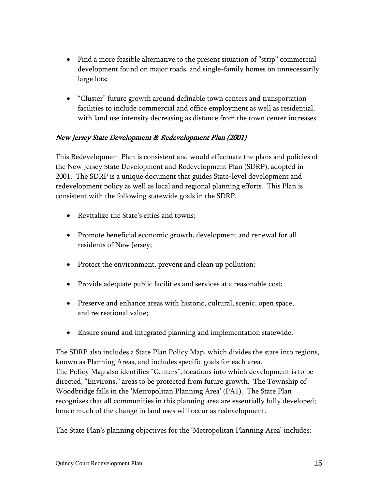- Find a more feasible alternative to the present situation of "strip" commercial development found on major roads, and single-family homes on unnecessarily large lots;
- "Cluster" future growth around definable town centers and transportation facilities to include commercial and office employment as well as residential, with land use intensity decreasing as distance from the town center increases.

### New Jersey State Development & Redevelopment Plan (2001)

This Redevelopment Plan is consistent and would effectuate the plans and policies of the New Jersey State Development and Redevelopment Plan (SDRP), adopted in 2001. The SDRP is a unique document that guides State-level development and redevelopment policy as well as local and regional planning efforts. This Plan is consistent with the following statewide goals in the SDRP.

- Revitalize the State's cities and towns;
- Promote beneficial economic growth, development and renewal for all residents of New Jersey;
- Protect the environment, prevent and clean up pollution;
- Provide adequate public facilities and services at a reasonable cost;
- Preserve and enhance areas with historic, cultural, scenic, open space, and recreational value;
- Ensure sound and integrated planning and implementation statewide.

The SDRP also includes a State Plan Policy Map, which divides the state into regions, known as Planning Areas, and includes specific goals for each area. The Policy Map also identifies "Centers", locations into which development is to be directed, "Environs," areas to be protected from future growth. The Township of Woodbridge falls in the 'Metropolitan Planning Area' (PA1). The State Plan recognizes that all communities in this planning area are essentially fully developed; hence much of the change in land uses will occur as redevelopment.

The State Plan's planning objectives for the 'Metropolitan Planning Area' includes: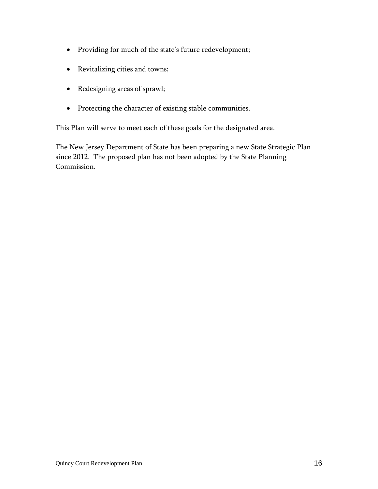- Providing for much of the state's future redevelopment;
- Revitalizing cities and towns;
- Redesigning areas of sprawl;
- Protecting the character of existing stable communities.

This Plan will serve to meet each of these goals for the designated area.

The New Jersey Department of State has been preparing a new State Strategic Plan since 2012. The proposed plan has not been adopted by the State Planning Commission.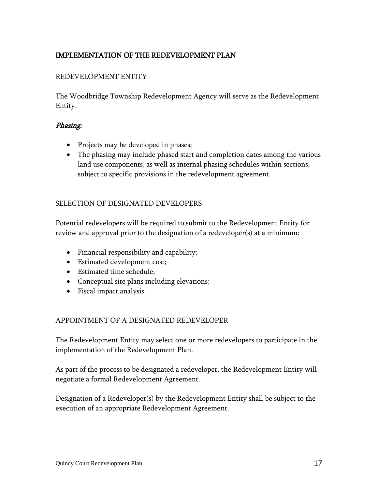# <span id="page-19-0"></span>IMPLEMENTATION OF THE REDEVELOPMENT PLAN

#### REDEVELOPMENT ENTITY

The Woodbridge Township Redevelopment Agency will serve as the Redevelopment Entity.

#### Phasing:

- Projects may be developed in phases;
- The phasing may include phased start and completion dates among the various land use components, as well as internal phasing schedules within sections, subject to specific provisions in the redevelopment agreement.

#### SELECTION OF DESIGNATED DEVELOPERS

Potential redevelopers will be required to submit to the Redevelopment Entity for review and approval prior to the designation of a redeveloper(s) at a minimum:

- Financial responsibility and capability;
- Estimated development cost;
- Estimated time schedule;
- Conceptual site plans including elevations;
- Fiscal impact analysis.

#### APPOINTMENT OF A DESIGNATED REDEVELOPER

The Redevelopment Entity may select one or more redevelopers to participate in the implementation of the Redevelopment Plan.

As part of the process to be designated a redeveloper, the Redevelopment Entity will negotiate a formal Redevelopment Agreement.

Designation of a Redeveloper(s) by the Redevelopment Entity shall be subject to the execution of an appropriate Redevelopment Agreement.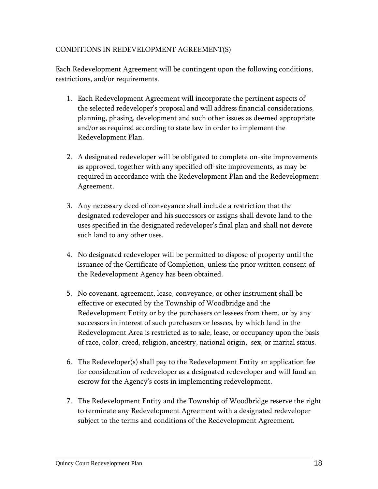#### CONDITIONS IN REDEVELOPMENT AGREEMENT(S)

Each Redevelopment Agreement will be contingent upon the following conditions, restrictions, and/or requirements.

- 1. Each Redevelopment Agreement will incorporate the pertinent aspects of the selected redeveloper's proposal and will address financial considerations, planning, phasing, development and such other issues as deemed appropriate and/or as required according to state law in order to implement the Redevelopment Plan.
- 2. A designated redeveloper will be obligated to complete on-site improvements as approved, together with any specified off-site improvements, as may be required in accordance with the Redevelopment Plan and the Redevelopment Agreement.
- 3. Any necessary deed of conveyance shall include a restriction that the designated redeveloper and his successors or assigns shall devote land to the uses specified in the designated redeveloper's final plan and shall not devote such land to any other uses.
- 4. No designated redeveloper will be permitted to dispose of property until the issuance of the Certificate of Completion, unless the prior written consent of the Redevelopment Agency has been obtained.
- 5. No covenant, agreement, lease, conveyance, or other instrument shall be effective or executed by the Township of Woodbridge and the Redevelopment Entity or by the purchasers or lessees from them, or by any successors in interest of such purchasers or lessees, by which land in the Redevelopment Area is restricted as to sale, lease, or occupancy upon the basis of race, color, creed, religion, ancestry, national origin, sex, or marital status.
- 6. The Redeveloper(s) shall pay to the Redevelopment Entity an application fee for consideration of redeveloper as a designated redeveloper and will fund an escrow for the Agency's costs in implementing redevelopment.
- 7. The Redevelopment Entity and the Township of Woodbridge reserve the right to terminate any Redevelopment Agreement with a designated redeveloper subject to the terms and conditions of the Redevelopment Agreement.